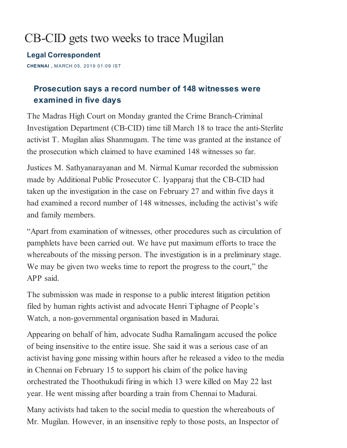## CB-CID gets two weeks to trace Mugilan

Legal [Correspondent](https://www.thehindu.com/profile/author/Legal-Correspondent-680/)

CHENNAI , MARCH 05, 2019 01:09 IST

## Prosecution says a record number of 148 witnesses were examined in five days

The Madras High Court on Monday granted the Crime Branch-Criminal Investigation Department (CB-CID) time till March 18 to trace the anti-Sterlite activist T. Mugilan alias Shanmugam. The time was granted at the instance of the prosecution which claimed to have examined 148 witnesses so far.

Justices M. Sathyanarayanan and M. Nirmal Kumar recorded the submission made by Additional Public Prosecutor C. Iyapparaj that the CB-CID had taken up the investigation in the case on February 27 and within five days it had examined a record number of 148 witnesses, including the activist's wife and family members.

"Apart from examination of witnesses, other procedures such as circulation of pamphlets have been carried out. We have put maximum efforts to trace the whereabouts of the missing person. The investigation is in a preliminary stage. We may be given two weeks time to report the progress to the court," the APP said.

The submission was made in response to a public interest litigation petition filed by human rights activist and advocate Henri Tiphagne of People's Watch, a non-governmental organisation based in Madurai.

Appearing on behalf of him, advocate Sudha Ramalingam accused the police of being insensitive to the entire issue. She said it was a serious case of an activist having gone missing within hours after he released a video to the media in Chennai on February 15 to support his claim of the police having orchestrated the Thoothukudi firing in which 13 were killed on May 22 last year. He went missing after boarding a train from Chennai to Madurai.

Many activists had taken to the social media to question the whereabouts of Mr. Mugilan. However, in an insensitive reply to those posts, an Inspector of